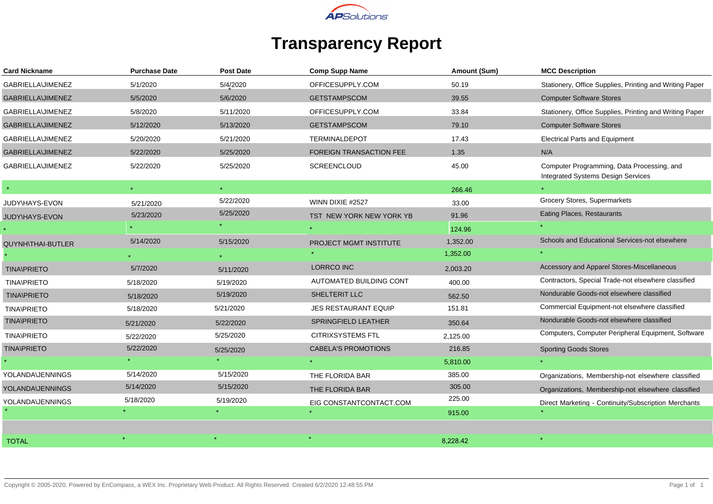

## **Transparency Report**

| <b>Card Nickname</b>     | <b>Purchase Date</b> | Post Date | <b>Comp Supp Name</b>      | Amount (Sum) | <b>MCC Description</b>                                                           |
|--------------------------|----------------------|-----------|----------------------------|--------------|----------------------------------------------------------------------------------|
| GABRIELLA\JIMENEZ        | 5/1/2020             | 5/4/2020  | OFFICESUPPLY.COM           | 50.19        | Stationery, Office Supplies, Printing and Writing Paper                          |
| GABRIELLA\JIMENEZ        | 5/5/2020             | 5/6/2020  | <b>GETSTAMPSCOM</b>        | 39.55        | <b>Computer Software Stores</b>                                                  |
| GABRIELLA\JIMENEZ        | 5/8/2020             | 5/11/2020 | OFFICESUPPLY.COM           | 33.84        | Stationery, Office Supplies, Printing and Writing Paper                          |
| <b>GABRIELLA\JIMENEZ</b> | 5/12/2020            | 5/13/2020 | <b>GETSTAMPSCOM</b>        | 79.10        | <b>Computer Software Stores</b>                                                  |
| GABRIELLA\JIMENEZ        | 5/20/2020            | 5/21/2020 | <b>TERMINALDEPOT</b>       | 17.43        | <b>Electrical Parts and Equipment</b>                                            |
| <b>GABRIELLA\JIMENEZ</b> | 5/22/2020            | 5/25/2020 | FOREIGN TRANSACTION FEE    | 1.35         | N/A                                                                              |
| GABRIELLA\JIMENEZ        | 5/22/2020            | 5/25/2020 | <b>SCREENCLOUD</b>         | 45.00        | Computer Programming, Data Processing, and<br>Integrated Systems Design Services |
|                          |                      | $\star$   |                            | 266.46       |                                                                                  |
| JUDY\HAYS-EVON           | 5/21/2020            | 5/22/2020 | WINN DIXIE #2527           | 33.00        | Grocery Stores, Supermarkets                                                     |
| JUDY\HAYS-EVON           | 5/23/2020            | 5/25/2020 | TST NEW YORK NEW YORK YB   | 91.96        | Eating Places, Restaurants                                                       |
|                          |                      |           |                            | 124.96       |                                                                                  |
| QUYNH\THAI-BUTLER        | 5/14/2020            | 5/15/2020 | PROJECT MGMT INSTITUTE     | 1,352.00     | Schools and Educational Services-not elsewhere                                   |
|                          |                      |           |                            | 1,352.00     |                                                                                  |
| <b>TINA\PRIETO</b>       | 5/7/2020             | 5/11/2020 | LORRCO INC                 | 2,003.20     | Accessory and Apparel Stores-Miscellaneous                                       |
| <b>TINA\PRIETO</b>       | 5/18/2020            | 5/19/2020 | AUTOMATED BUILDING CONT    | 400.00       | Contractors, Special Trade-not elsewhere classified                              |
| <b>TINA\PRIETO</b>       | 5/18/2020            | 5/19/2020 | SHELTERIT LLC              | 562.50       | Nondurable Goods-not elsewhere classified                                        |
| <b>TINA\PRIETO</b>       | 5/18/2020            | 5/21/2020 | JES RESTAURANT EQUIP       | 151.81       | Commercial Equipment-not elsewhere classified                                    |
| <b>TINA\PRIETO</b>       | 5/21/2020            | 5/22/2020 | SPRINGFIELD LEATHER        | 350.64       | Nondurable Goods-not elsewhere classified                                        |
| <b>TINA\PRIETO</b>       | 5/22/2020            | 5/25/2020 | <b>CITRIXSYSTEMS FTL</b>   | 2,125.00     | Computers, Computer Peripheral Equipment, Software                               |
| <b>TINA\PRIETO</b>       | 5/22/2020            | 5/25/2020 | <b>CABELA'S PROMOTIONS</b> | 216.85       | <b>Sporting Goods Stores</b>                                                     |
|                          |                      |           |                            | 5,810.00     |                                                                                  |
| YOLANDA\JENNINGS         | 5/14/2020            | 5/15/2020 | THE FLORIDA BAR            | 385.00       | Organizations, Membership-not elsewhere classified                               |
| YOLANDA\JENNINGS         | 5/14/2020            | 5/15/2020 | THE FLORIDA BAR            | 305.00       | Organizations, Membership-not elsewhere classified                               |
| YOLANDA\JENNINGS         | 5/18/2020            | 5/19/2020 | EIG CONSTANTCONTACT.COM    | 225.00       | Direct Marketing - Continuity/Subscription Merchants                             |
|                          |                      |           |                            | 915.00       |                                                                                  |
|                          |                      |           |                            |              |                                                                                  |
| <b>TOTAL</b>             |                      |           |                            | 8,228.42     |                                                                                  |